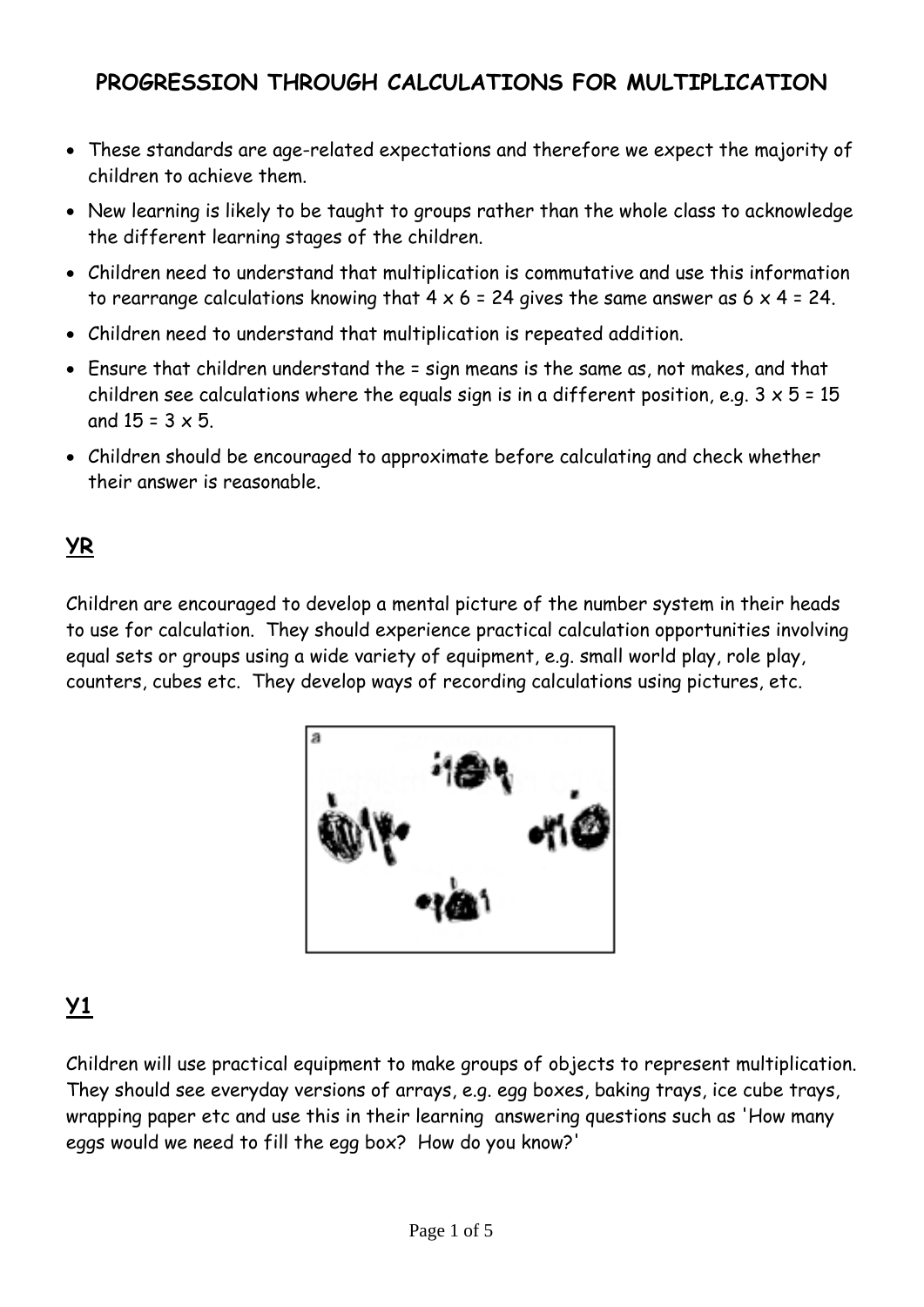### **PROGRESSION THROUGH CALCULATIONS FOR MULTIPLICATION**

- These standards are age-related expectations and therefore we expect the majority of children to achieve them.
- New learning is likely to be taught to groups rather than the whole class to acknowledge the different learning stages of the children.
- Children need to understand that multiplication is commutative and use this information to rearrange calculations knowing that  $4 \times 6 = 24$  gives the same answer as  $6 \times 4 = 24$ .
- Children need to understand that multiplication is repeated addition.
- Ensure that children understand the = sign means is the same as, not makes, and that children see calculations where the equals sign is in a different position, e.g.  $3 \times 5 = 15$ and  $15 = 3 \times 5$ .
- Children should be encouraged to approximate before calculating and check whether their answer is reasonable.

### **YR**

Children are encouraged to develop a mental picture of the number system in their heads to use for calculation. They should experience practical calculation opportunities involving equal sets or groups using a wide variety of equipment, e.g. small world play, role play, counters, cubes etc. They develop ways of recording calculations using pictures, etc.



## **Y1**

Children will use practical equipment to make groups of objects to represent multiplication. They should see everyday versions of arrays, e.g. egg boxes, baking trays, ice cube trays, wrapping paper etc and use this in their learning answering questions such as 'How many eggs would we need to fill the egg box? How do you know?'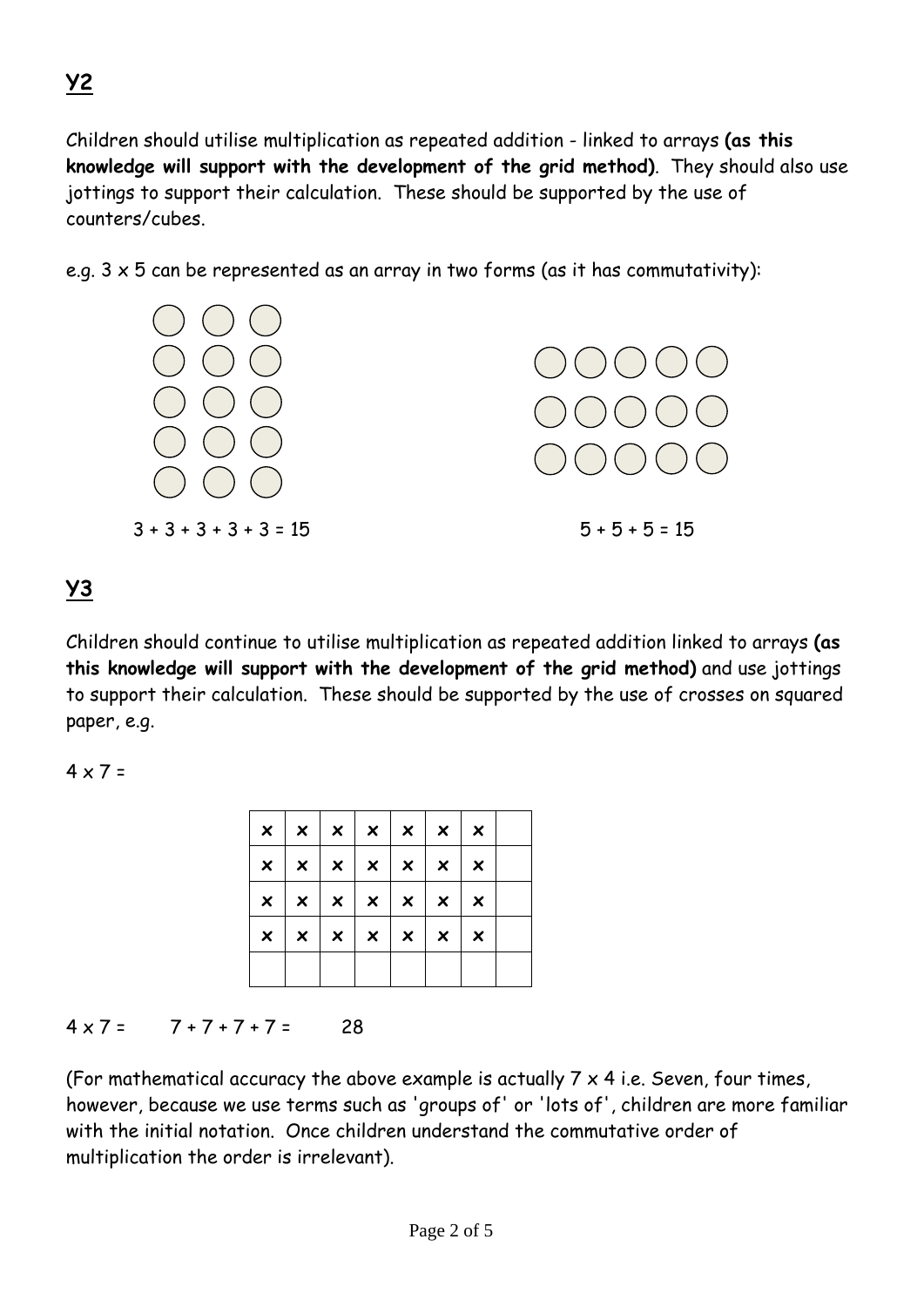Children should utilise multiplication as repeated addition - linked to arrays **(as this knowledge will support with the development of the grid method)**. They should also use jottings to support their calculation. These should be supported by the use of counters/cubes.

e.g.  $3 \times 5$  can be represented as an array in two forms (as it has commutativity):



**Y3**

Children should continue to utilise multiplication as repeated addition linked to arrays **(as this knowledge will support with the development of the grid method)** and use jottings to support their calculation. These should be supported by the use of crosses on squared paper, e.g.

 $4 \times 7 =$ 

|   | $x \mid x \mid x \mid x \mid x \mid x \mid x$ |  |                |                           |  |
|---|-----------------------------------------------|--|----------------|---------------------------|--|
|   | $x \mid x \mid x \mid x \mid x \mid x \mid x$ |  |                |                           |  |
|   | $x \mid x \mid x \mid x \mid x \mid x \mid x$ |  |                |                           |  |
| × | $\vert x \vert x \vert x \vert x \vert x$     |  | $\mathbb{R}^n$ | $\boldsymbol{\mathsf{x}}$ |  |
|   |                                               |  |                |                           |  |

#### $4 \times 7 = 7 + 7 + 7 + 7 = 28$

(For mathematical accuracy the above example is actually  $7 \times 4$  i.e. Seven, four times, however, because we use terms such as 'groups of' or 'lots of', children are more familiar with the initial notation. Once children understand the commutative order of multiplication the order is irrelevant).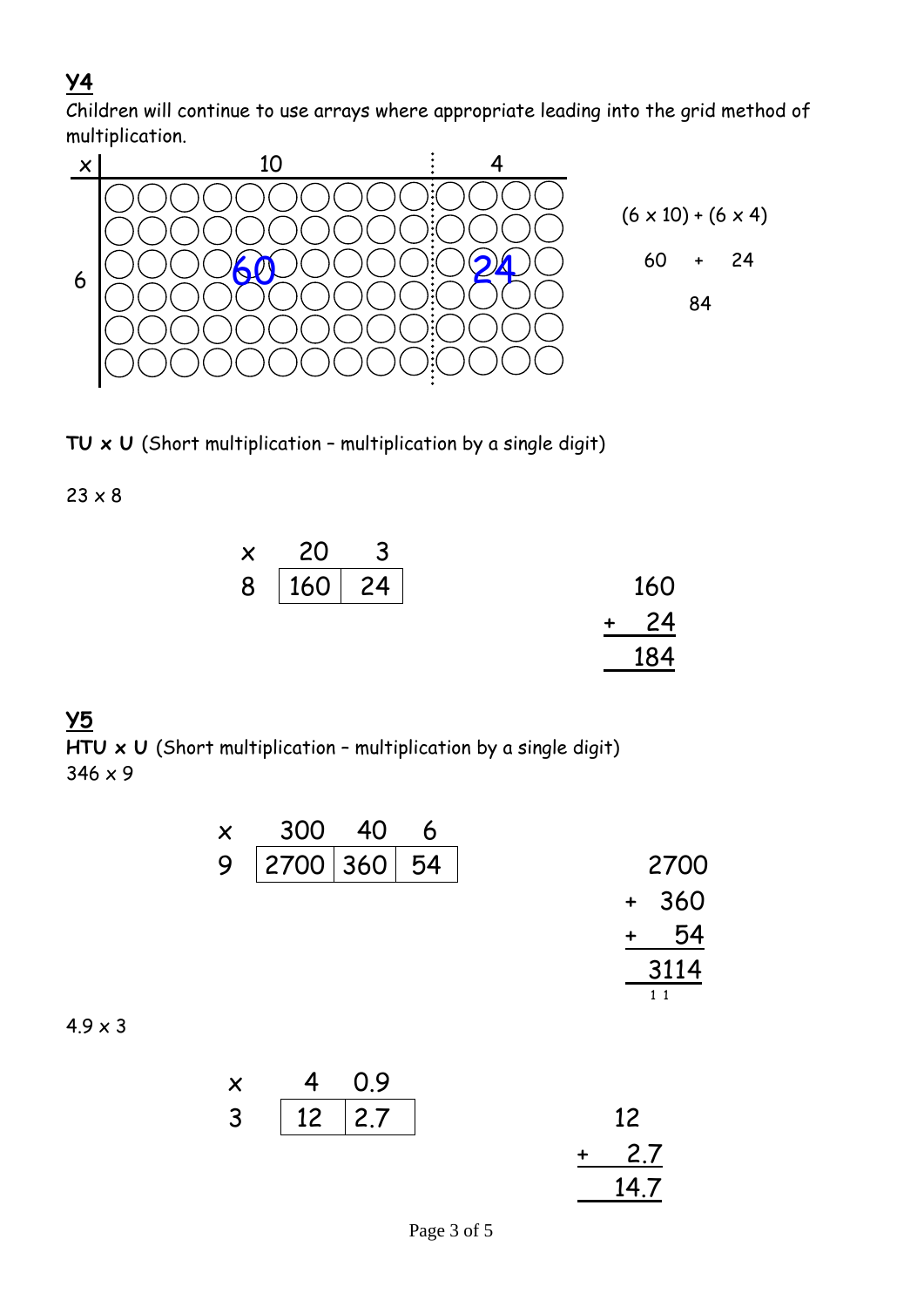### **Y4**

Children will continue to use arrays where appropriate leading into the grid method of multiplication.



**TU x U** (Short multiplication – multiplication by a single digit)

 $23 \times 8$ 

| $\times$ 20  |  |
|--------------|--|
| 8   160   24 |  |
|              |  |
|              |  |

# **Y5**

**HTU x U** (Short multiplication – multiplication by a single digit) 346 x 9

| $\boldsymbol{\mathsf{X}}$ | 300 40      | 6 |               |
|---------------------------|-------------|---|---------------|
| 9                         | 2700 360 54 |   | 2700          |
|                           |             |   | 360<br>$\div$ |
|                           |             |   | 54            |
|                           |             |   | 3114          |
|                           |             |   | 11            |

#### $4.9 \times 3$

| $\times$       | 4 0.9    |  |                 |
|----------------|----------|--|-----------------|
| 3 <sup>1</sup> | 12   2.7 |  | $12 \ \mathrm{$ |
|                |          |  | 2.7             |
|                |          |  | 14.7            |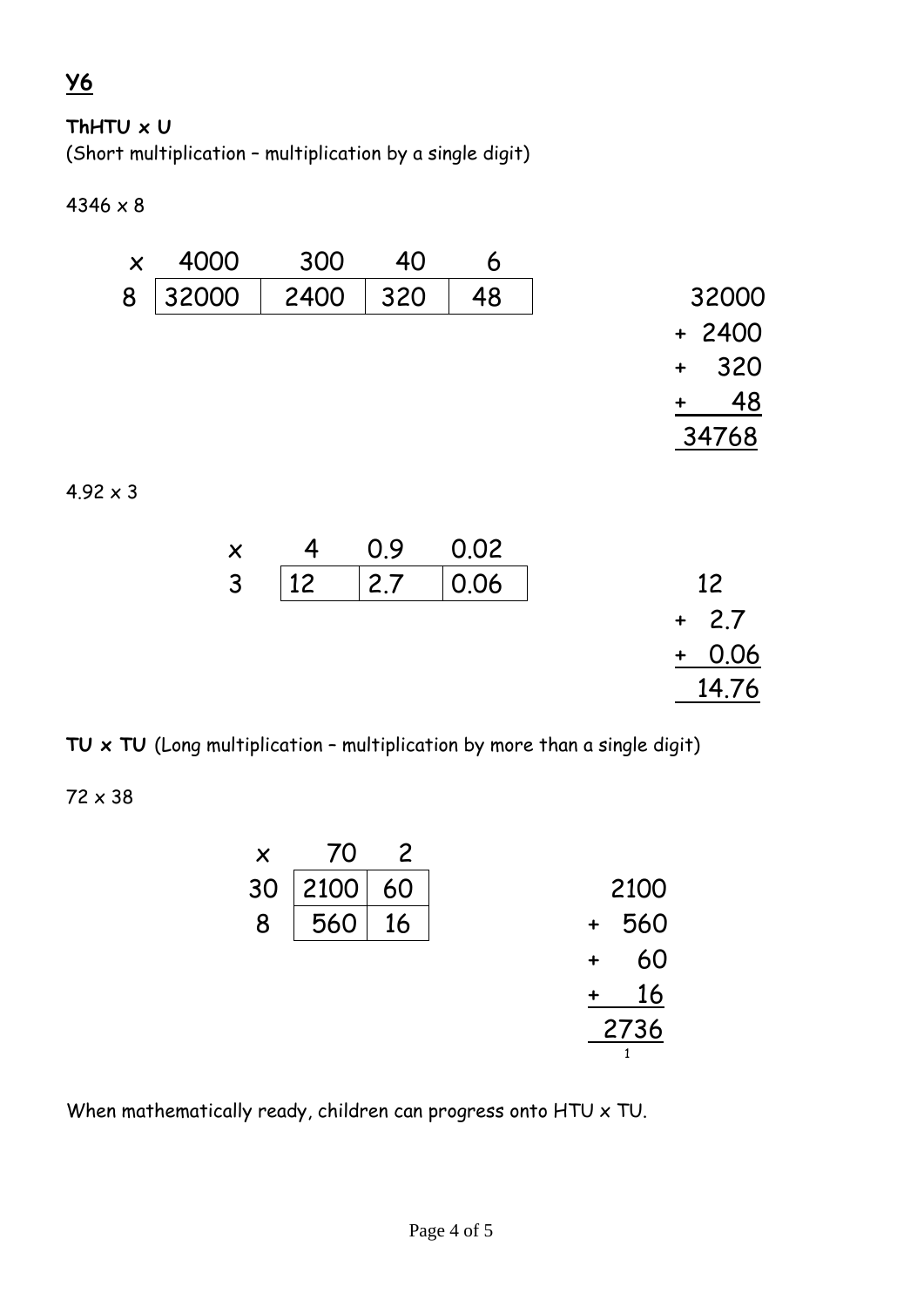## **Y6**

#### **ThHTU x U**

(Short multiplication – multiplication by a single digit)

 $4346 \times 8$ 



**TU x TU** (Long multiplication – multiplication by more than a single digit)

72 x 38

| $\times$ | 70   | $\mathcal{V}$ |                  |
|----------|------|---------------|------------------|
| 30       | 2100 | 60            | 2100             |
| 8        | 560  | 16            | 560<br>$\ddot{}$ |
|          |      |               | 60               |
|          |      |               | 16               |
|          |      |               | 2736             |
|          |      |               |                  |

When mathematically ready, children can progress onto HTU x TU.